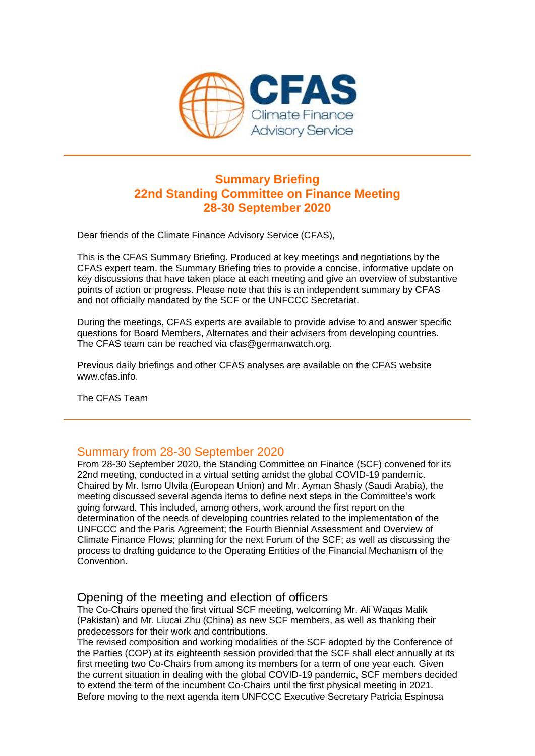

# **Summary Briefing 22nd Standing Committee on Finance Meeting 28-30 September 2020**

Dear friends of the Climate Finance Advisory Service (CFAS),

This is the CFAS Summary Briefing. Produced at key meetings and negotiations by the CFAS expert team, the Summary Briefing tries to provide a concise, informative update on key discussions that have taken place at each meeting and give an overview of substantive points of action or progress. Please note that this is an independent summary by CFAS and not officially mandated by the SCF or the UNFCCC Secretariat.

During the meetings, CFAS experts are available to provide advise to and answer specific questions for Board Members, Alternates and their advisers from developing countries. The CFAS team can be reached via cfas@germanwatch.org.

Previous daily briefings and other CFAS analyses are available on the CFAS website www.cfas.info.

The CFAS Team

# Summary from 28-30 September 2020

From 28-30 September 2020, the Standing Committee on Finance (SCF) convened for its 22nd meeting, conducted in a virtual setting amidst the global COVID-19 pandemic. Chaired by Mr. Ismo Ulvila (European Union) and Mr. Ayman Shasly (Saudi Arabia), the meeting discussed several agenda items to define next steps in the Committee's work going forward. This included, among others, work around the first report on the determination of the needs of developing countries related to the implementation of the UNFCCC and the Paris Agreement; the Fourth Biennial Assessment and Overview of Climate Finance Flows; planning for the next Forum of the SCF; as well as discussing the process to drafting guidance to the Operating Entities of the Financial Mechanism of the Convention.

## Opening of the meeting and election of officers

The Co-Chairs opened the first virtual SCF meeting, welcoming Mr. Ali Waqas Malik (Pakistan) and Mr. Liucai Zhu (China) as new SCF members, as well as thanking their predecessors for their work and contributions.

The revised composition and working modalities of the SCF adopted by the Conference of the Parties (COP) at its eighteenth session provided that the SCF shall elect annually at its first meeting two Co-Chairs from among its members for a term of one year each. Given the current situation in dealing with the global COVID-19 pandemic, SCF members decided to extend the term of the incumbent Co-Chairs until the first physical meeting in 2021. Before moving to the next agenda item UNFCCC Executive Secretary Patricia Espinosa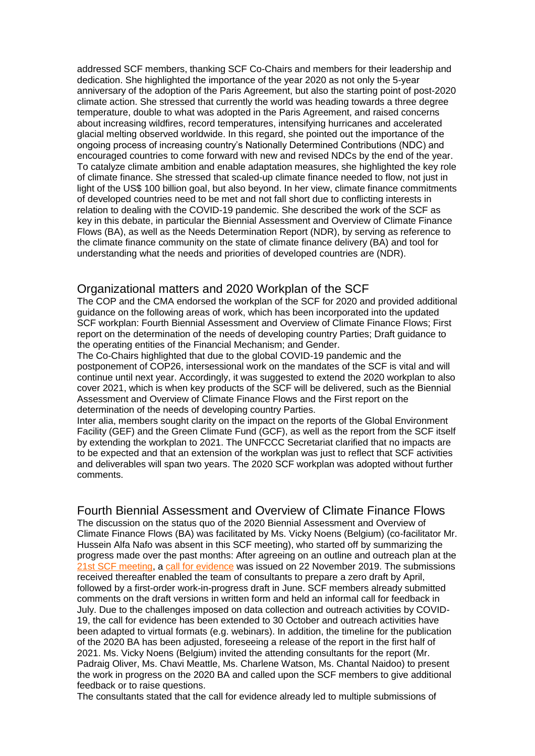addressed SCF members, thanking SCF Co-Chairs and members for their leadership and dedication. She highlighted the importance of the year 2020 as not only the 5-year anniversary of the adoption of the Paris Agreement, but also the starting point of post-2020 climate action. She stressed that currently the world was heading towards a three degree temperature, double to what was adopted in the Paris Agreement, and raised concerns about increasing wildfires, record temperatures, intensifying hurricanes and accelerated glacial melting observed worldwide. In this regard, she pointed out the importance of the ongoing process of increasing country's Nationally Determined Contributions (NDC) and encouraged countries to come forward with new and revised NDCs by the end of the year. To catalyze climate ambition and enable adaptation measures, she highlighted the key role of climate finance. She stressed that scaled-up climate finance needed to flow, not just in light of the US\$ 100 billion goal, but also beyond. In her view, climate finance commitments of developed countries need to be met and not fall short due to conflicting interests in relation to dealing with the COVID-19 pandemic. She described the work of the SCF as key in this debate, in particular the Biennial Assessment and Overview of Climate Finance Flows (BA), as well as the Needs Determination Report (NDR), by serving as reference to the climate finance community on the state of climate finance delivery (BA) and tool for understanding what the needs and priorities of developed countries are (NDR).

## Organizational matters and 2020 Workplan of the SCF

The COP and the CMA endorsed the workplan of the SCF for 2020 and provided additional guidance on the following areas of work, which has been incorporated into the updated SCF workplan: Fourth Biennial Assessment and Overview of Climate Finance Flows; First report on the determination of the needs of developing country Parties; Draft guidance to the operating entities of the Financial Mechanism; and Gender.

The Co-Chairs highlighted that due to the global COVID-19 pandemic and the postponement of COP26, intersessional work on the mandates of the SCF is vital and will continue until next year. Accordingly, it was suggested to extend the 2020 workplan to also cover 2021, which is when key products of the SCF will be delivered, such as the Biennial Assessment and Overview of Climate Finance Flows and the First report on the determination of the needs of developing country Parties.

Inter alia, members sought clarity on the impact on the reports of the Global Environment Facility (GEF) and the Green Climate Fund (GCF), as well as the report from the SCF itself by extending the workplan to 2021. The UNFCCC Secretariat clarified that no impacts are to be expected and that an extension of the workplan was just to reflect that SCF activities and deliverables will span two years. The 2020 SCF workplan was adopted without further comments.

Fourth Biennial Assessment and Overview of Climate Finance Flows

The discussion on the status quo of the 2020 Biennial Assessment and Overview of Climate Finance Flows (BA) was facilitated by Ms. Vicky Noens (Belgium) (co-facilitator Mr. Hussein Alfa Nafo was absent in this SCF meeting), who started off by summarizing the progress made over the past months: After agreeing on an outline and outreach plan at the [21st SCF meeting,](https://amxe.net/bek48gnr-a5f3p5n7-d0s7v737-17bl) a [call for evidence](https://amxe.net/bek48gnr-a5f3p5n7-e1i2m1oz-osx) was issued on 22 November 2019. The submissions received thereafter enabled the team of consultants to prepare a zero draft by April, followed by a first-order work-in-progress draft in June. SCF members already submitted comments on the draft versions in written form and held an informal call for feedback in July. Due to the challenges imposed on data collection and outreach activities by COVID-19, the call for evidence has been extended to 30 October and outreach activities have been adapted to virtual formats (e.g. webinars). In addition, the timeline for the publication of the 2020 BA has been adjusted, foreseeing a release of the report in the first half of 2021. Ms. Vicky Noens (Belgium) invited the attending consultants for the report (Mr. Padraig Oliver, Ms. Chavi Meattle, Ms. Charlene Watson, Ms. Chantal Naidoo) to present the work in progress on the 2020 BA and called upon the SCF members to give additional feedback or to raise questions.

The consultants stated that the call for evidence already led to multiple submissions of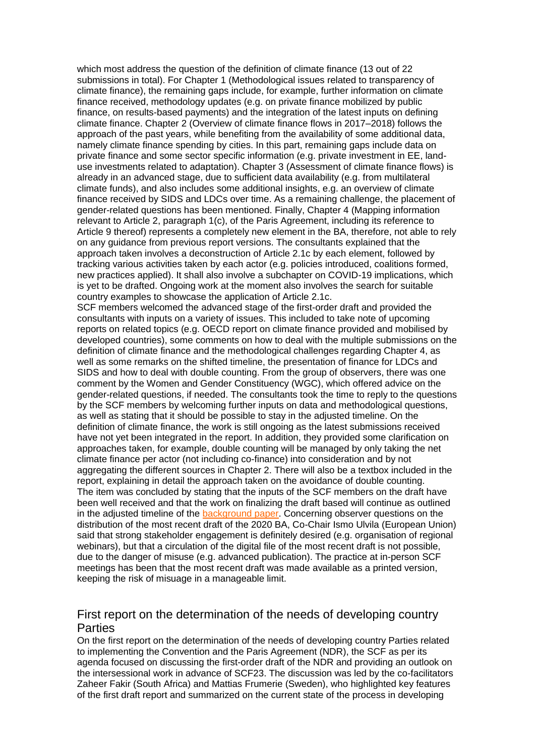which most address the question of the definition of climate finance (13 out of 22 submissions in total). For Chapter 1 (Methodological issues related to transparency of climate finance), the remaining gaps include, for example, further information on climate finance received, methodology updates (e.g. on private finance mobilized by public finance, on results-based payments) and the integration of the latest inputs on defining climate finance. Chapter 2 (Overview of climate finance flows in 2017–2018) follows the approach of the past years, while benefiting from the availability of some additional data, namely climate finance spending by cities. In this part, remaining gaps include data on private finance and some sector specific information (e.g. private investment in EE, landuse investments related to adaptation). Chapter 3 (Assessment of climate finance flows) is already in an advanced stage, due to sufficient data availability (e.g. from multilateral climate funds), and also includes some additional insights, e.g. an overview of climate finance received by SIDS and LDCs over time. As a remaining challenge, the placement of gender-related questions has been mentioned. Finally, Chapter 4 (Mapping information relevant to Article 2, paragraph 1(c), of the Paris Agreement, including its reference to Article 9 thereof) represents a completely new element in the BA, therefore, not able to rely on any guidance from previous report versions. The consultants explained that the approach taken involves a deconstruction of Article 2.1c by each element, followed by tracking various activities taken by each actor (e.g. policies introduced, coalitions formed, new practices applied). It shall also involve a subchapter on COVID-19 implications, which is yet to be drafted. Ongoing work at the moment also involves the search for suitable country examples to showcase the application of Article 2.1c.

SCF members welcomed the advanced stage of the first-order draft and provided the consultants with inputs on a variety of issues. This included to take note of upcoming reports on related topics (e.g. OECD report on climate finance provided and mobilised by developed countries), some comments on how to deal with the multiple submissions on the definition of climate finance and the methodological challenges regarding Chapter 4, as well as some remarks on the shifted timeline, the presentation of finance for LDCs and SIDS and how to deal with double counting. From the group of observers, there was one comment by the Women and Gender Constituency (WGC), which offered advice on the gender-related questions, if needed. The consultants took the time to reply to the questions by the SCF members by welcoming further inputs on data and methodological questions, as well as stating that it should be possible to stay in the adjusted timeline. On the definition of climate finance, the work is still ongoing as the latest submissions received have not yet been integrated in the report. In addition, they provided some clarification on approaches taken, for example, double counting will be managed by only taking the net climate finance per actor (not including co-finance) into consideration and by not aggregating the different sources in Chapter 2. There will also be a textbox included in the report, explaining in detail the approach taken on the avoidance of double counting. The item was concluded by stating that the inputs of the SCF members on the draft have been well received and that the work on finalizing the draft based will continue as outlined in the adjusted timeline of the **background paper.** Concerning observer questions on the distribution of the most recent draft of the 2020 BA, Co-Chair Ismo Ulvila (European Union) said that strong stakeholder engagement is definitely desired (e.g. organisation of regional webinars), but that a circulation of the digital file of the most recent draft is not possible, due to the danger of misuse (e.g. advanced publication). The practice at in-person SCF meetings has been that the most recent draft was made available as a printed version, keeping the risk of misuage in a manageable limit.

## First report on the determination of the needs of developing country **Parties**

On the first report on the determination of the needs of developing country Parties related to implementing the Convention and the Paris Agreement (NDR), the SCF as per its agenda focused on discussing the first-order draft of the NDR and providing an outlook on the intersessional work in advance of SCF23. The discussion was led by the co-facilitators Zaheer Fakir (South Africa) and Mattias Frumerie (Sweden), who highlighted key features of the first draft report and summarized on the current state of the process in developing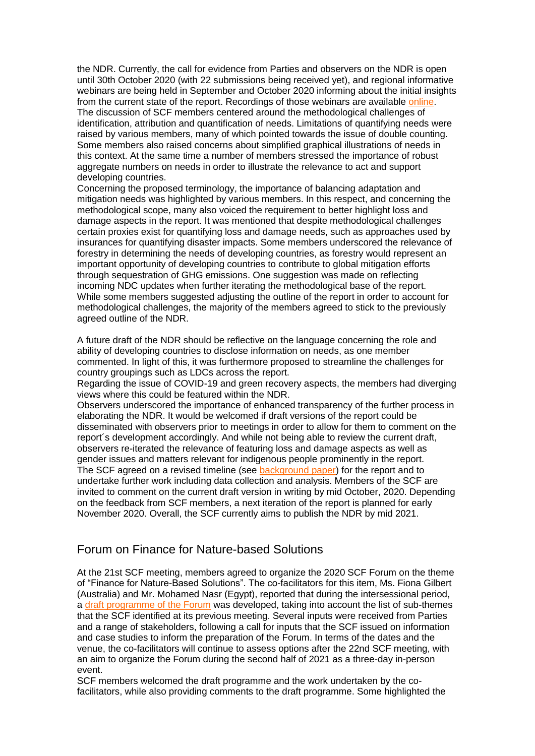the NDR. Currently, the call for evidence from Parties and observers on the NDR is open until 30th October 2020 (with 22 submissions being received yet), and regional informative webinars are being held in September and October 2020 informing about the initial insights from the current state of the report. Recordings of those webinars are available [online.](https://amxe.net/bek48gnr-a5f3p5n7-mryrx1de-1e1p) The discussion of SCF members centered around the methodological challenges of identification, attribution and quantification of needs. Limitations of quantifying needs were raised by various members, many of which pointed towards the issue of double counting. Some members also raised concerns about simplified graphical illustrations of needs in this context. At the same time a number of members stressed the importance of robust aggregate numbers on needs in order to illustrate the relevance to act and support developing countries.

Concerning the proposed terminology, the importance of balancing adaptation and mitigation needs was highlighted by various members. In this respect, and concerning the methodological scope, many also voiced the requirement to better highlight loss and damage aspects in the report. It was mentioned that despite methodological challenges certain proxies exist for quantifying loss and damage needs, such as approaches used by insurances for quantifying disaster impacts. Some members underscored the relevance of forestry in determining the needs of developing countries, as forestry would represent an important opportunity of developing countries to contribute to global mitigation efforts through sequestration of GHG emissions. One suggestion was made on reflecting incoming NDC updates when further iterating the methodological base of the report. While some members suggested adjusting the outline of the report in order to account for methodological challenges, the majority of the members agreed to stick to the previously agreed outline of the NDR.

A future draft of the NDR should be reflective on the language concerning the role and ability of developing countries to disclose information on needs, as one member commented. In light of this, it was furthermore proposed to streamline the challenges for country groupings such as LDCs across the report.

Regarding the issue of COVID-19 and green recovery aspects, the members had diverging views where this could be featured within the NDR.

Observers underscored the importance of enhanced transparency of the further process in elaborating the NDR. It would be welcomed if draft versions of the report could be disseminated with observers prior to meetings in order to allow for them to comment on the report´s development accordingly. And while not being able to review the current draft, observers re-iterated the relevance of featuring loss and damage aspects as well as gender issues and matters relevant for indigenous people prominently in the report. The SCF agreed on a revised timeline (see [background paper\)](https://amxe.net/bek48gnr-a5f3p5n7-qf74fsz6-vvs) for the report and to undertake further work including data collection and analysis. Members of the SCF are invited to comment on the current draft version in writing by mid October, 2020. Depending on the feedback from SCF members, a next iteration of the report is planned for early November 2020. Overall, the SCF currently aims to publish the NDR by mid 2021.

## Forum on Finance for Nature-based Solutions

At the 21st SCF meeting, members agreed to organize the 2020 SCF Forum on the theme of "Finance for Nature-Based Solutions". The co-facilitators for this item, Ms. Fiona Gilbert (Australia) and Mr. Mohamed Nasr (Egypt), reported that during the intersessional period, a [draft programme of the Forum](https://amxe.net/bek48gnr-a5f3p5n7-sifh0mv7-pji) was developed, taking into account the list of sub-themes that the SCF identified at its previous meeting. Several inputs were received from Parties and a range of stakeholders, following a call for inputs that the SCF issued on information and case studies to inform the preparation of the Forum. In terms of the dates and the venue, the co-facilitators will continue to assess options after the 22nd SCF meeting, with an aim to organize the Forum during the second half of 2021 as a three-day in-person event.

SCF members welcomed the draft programme and the work undertaken by the cofacilitators, while also providing comments to the draft programme. Some highlighted the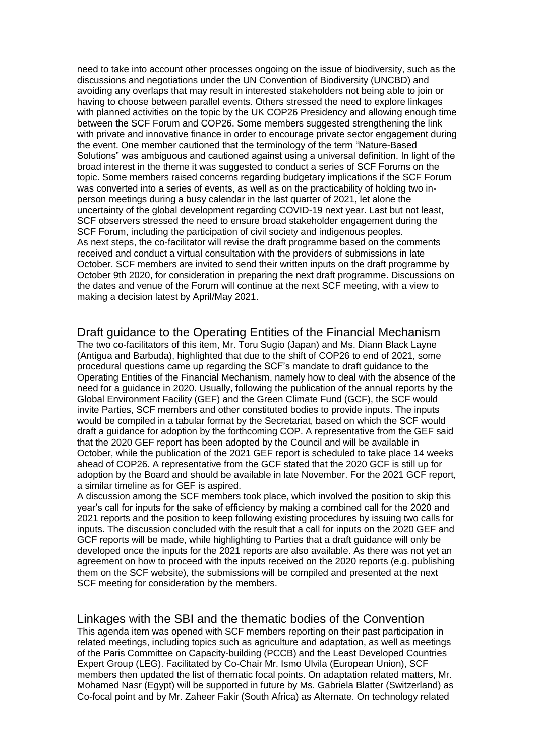need to take into account other processes ongoing on the issue of biodiversity, such as the discussions and negotiations under the UN Convention of Biodiversity (UNCBD) and avoiding any overlaps that may result in interested stakeholders not being able to join or having to choose between parallel events. Others stressed the need to explore linkages with planned activities on the topic by the UK COP26 Presidency and allowing enough time between the SCF Forum and COP26. Some members suggested strengthening the link with private and innovative finance in order to encourage private sector engagement during the event. One member cautioned that the terminology of the term "Nature-Based Solutions" was ambiguous and cautioned against using a universal definition. In light of the broad interest in the theme it was suggested to conduct a series of SCF Forums on the topic. Some members raised concerns regarding budgetary implications if the SCF Forum was converted into a series of events, as well as on the practicability of holding two inperson meetings during a busy calendar in the last quarter of 2021, let alone the uncertainty of the global development regarding COVID-19 next year. Last but not least, SCF observers stressed the need to ensure broad stakeholder engagement during the SCF Forum, including the participation of civil society and indigenous peoples. As next steps, the co-facilitator will revise the draft programme based on the comments received and conduct a virtual consultation with the providers of submissions in late October. SCF members are invited to send their written inputs on the draft programme by October 9th 2020, for consideration in preparing the next draft programme. Discussions on the dates and venue of the Forum will continue at the next SCF meeting, with a view to making a decision latest by April/May 2021.

### Draft guidance to the Operating Entities of the Financial Mechanism

The two co-facilitators of this item, Mr. Toru Sugio (Japan) and Ms. Diann Black Layne (Antigua and Barbuda), highlighted that due to the shift of COP26 to end of 2021, some procedural questions came up regarding the SCF's mandate to draft guidance to the Operating Entities of the Financial Mechanism, namely how to deal with the absence of the need for a guidance in 2020. Usually, following the publication of the annual reports by the Global Environment Facility (GEF) and the Green Climate Fund (GCF), the SCF would invite Parties, SCF members and other constituted bodies to provide inputs. The inputs would be compiled in a tabular format by the Secretariat, based on which the SCF would draft a guidance for adoption by the forthcoming COP. A representative from the GEF said that the 2020 GEF report has been adopted by the Council and will be available in October, while the publication of the 2021 GEF report is scheduled to take place 14 weeks ahead of COP26. A representative from the GCF stated that the 2020 GCF is still up for adoption by the Board and should be available in late November. For the 2021 GCF report, a similar timeline as for GEF is aspired.

A discussion among the SCF members took place, which involved the position to skip this year's call for inputs for the sake of efficiency by making a combined call for the 2020 and 2021 reports and the position to keep following existing procedures by issuing two calls for inputs. The discussion concluded with the result that a call for inputs on the 2020 GEF and GCF reports will be made, while highlighting to Parties that a draft guidance will only be developed once the inputs for the 2021 reports are also available. As there was not yet an agreement on how to proceed with the inputs received on the 2020 reports (e.g. publishing them on the SCF website), the submissions will be compiled and presented at the next SCF meeting for consideration by the members.

Linkages with the SBI and the thematic bodies of the Convention This agenda item was opened with SCF members reporting on their past participation in related meetings, including topics such as agriculture and adaptation, as well as meetings of the Paris Committee on Capacity-building (PCCB) and the Least Developed Countries Expert Group (LEG). Facilitated by Co-Chair Mr. Ismo Ulvila (European Union), SCF members then updated the list of thematic focal points. On adaptation related matters, Mr. Mohamed Nasr (Egypt) will be supported in future by Ms. Gabriela Blatter (Switzerland) as Co-focal point and by Mr. Zaheer Fakir (South Africa) as Alternate. On technology related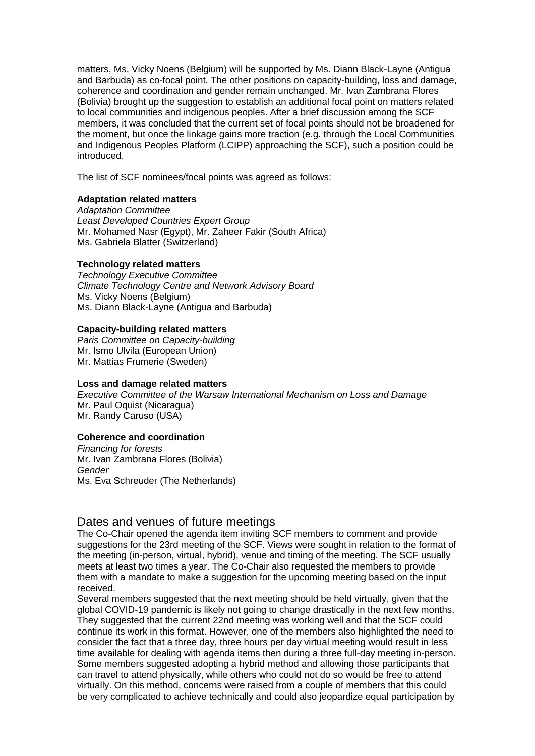matters, Ms. Vicky Noens (Belgium) will be supported by Ms. Diann Black-Layne (Antigua and Barbuda) as co-focal point. The other positions on capacity-building, loss and damage, coherence and coordination and gender remain unchanged. Mr. Ivan Zambrana Flores (Bolivia) brought up the suggestion to establish an additional focal point on matters related to local communities and indigenous peoples. After a brief discussion among the SCF members, it was concluded that the current set of focal points should not be broadened for the moment, but once the linkage gains more traction (e.g. through the Local Communities and Indigenous Peoples Platform (LCIPP) approaching the SCF), such a position could be introduced.

The list of SCF nominees/focal points was agreed as follows:

#### **Adaptation related matters**

*Adaptation Committee Least Developed Countries Expert Group* Mr. Mohamed Nasr (Egypt), Mr. Zaheer Fakir (South Africa) Ms. Gabriela Blatter (Switzerland)

#### **Technology related matters**

*Technology Executive Committee Climate Technology Centre and Network Advisory Board* Ms. Vicky Noens (Belgium) Ms. Diann Black-Layne (Antigua and Barbuda)

#### **Capacity-building related matters**

*Paris Committee on Capacity-building* Mr. Ismo Ulvila (European Union) Mr. Mattias Frumerie (Sweden)

#### **Loss and damage related matters**

*Executive Committee of the Warsaw International Mechanism on Loss and Damage* Mr. Paul Oquist (Nicaragua) Mr. Randy Caruso (USA)

#### **Coherence and coordination**

*Financing for forests* Mr. Ivan Zambrana Flores (Bolivia) *Gender* Ms. Eva Schreuder (The Netherlands)

## Dates and venues of future meetings

The Co-Chair opened the agenda item inviting SCF members to comment and provide suggestions for the 23rd meeting of the SCF. Views were sought in relation to the format of the meeting (in-person, virtual, hybrid), venue and timing of the meeting. The SCF usually meets at least two times a year. The Co-Chair also requested the members to provide them with a mandate to make a suggestion for the upcoming meeting based on the input received.

Several members suggested that the next meeting should be held virtually, given that the global COVID-19 pandemic is likely not going to change drastically in the next few months. They suggested that the current 22nd meeting was working well and that the SCF could continue its work in this format. However, one of the members also highlighted the need to consider the fact that a three day, three hours per day virtual meeting would result in less time available for dealing with agenda items then during a three full-day meeting in-person. Some members suggested adopting a hybrid method and allowing those participants that can travel to attend physically, while others who could not do so would be free to attend virtually. On this method, concerns were raised from a couple of members that this could be very complicated to achieve technically and could also jeopardize equal participation by